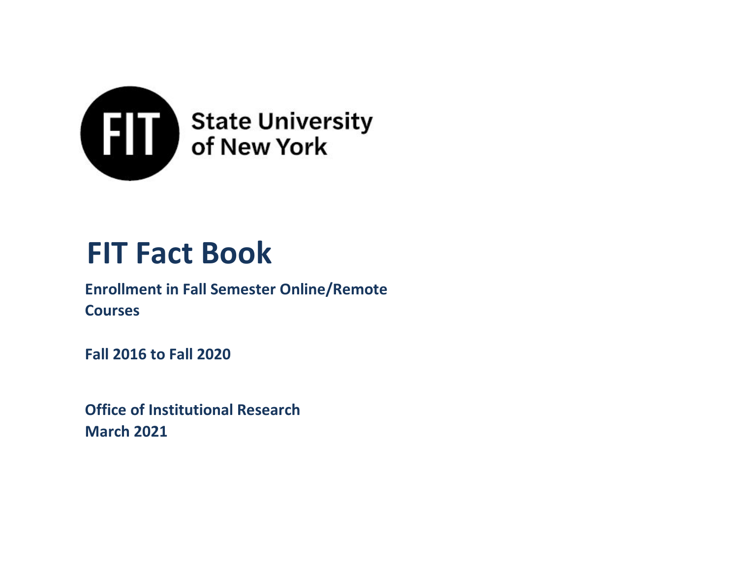

# **FIT Fact Book**

# **Enrollment in Fall Semester Online/Remote Courses**

**Fall 2016 to Fall 2020**

**Office of Institutional Research March 2021**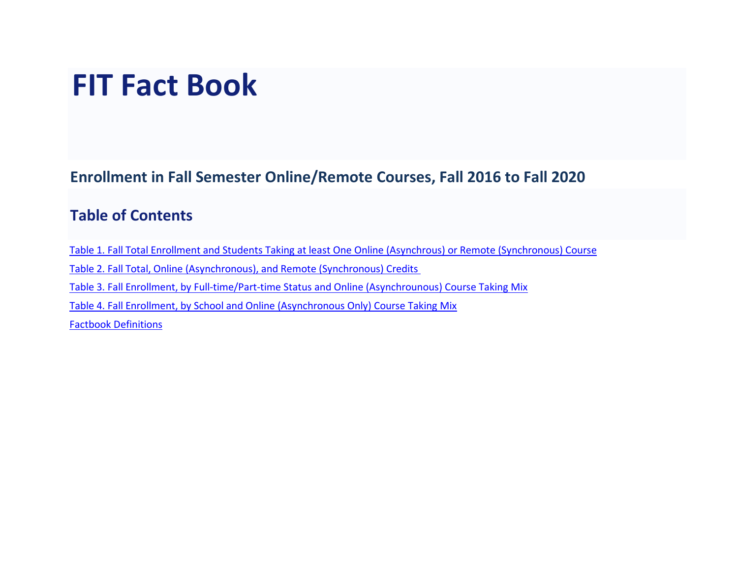# **FIT Fact Book**

**Enrollment in Fall Semester Online/Remote Courses, Fall 2016 to Fall 2020**

## **Table of Contents**

Table 1. Fall Total Enrollment and Students Taking at least One Online (Asynchrous) or Remote (Synchronous) Course Table 2. Fall Total, Online (Asynchronous), and Remote (Synchronous) Credits Table 3. Fall Enrollment, by Full-time/Part-time Status and Online (Asynchrounous) Course Taking Mix Table 4. Fall Enrollment, by School and Online (Asynchronous Only) Course Taking Mix [Factbook Definitions](#page-5-0)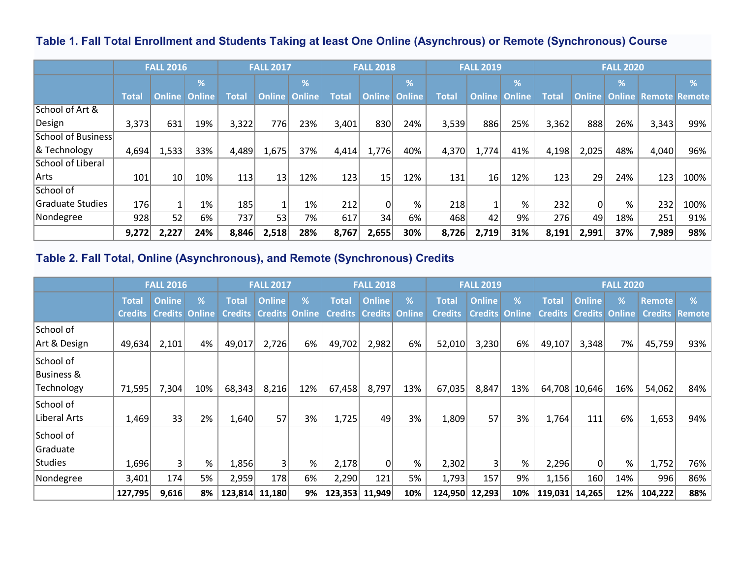## **Table 1. Fall Total Enrollment and Students Taking at least One Online (Asynchrous) or Remote (Synchronous) Course**

|                          | <b>FALL 2016</b> |        |               |       | <b>FALL 2017</b> |               |       | <b>FALL 2018</b> |                      |              | <b>FALL 2019</b> |                        |              |          |                          |                                            |      |
|--------------------------|------------------|--------|---------------|-------|------------------|---------------|-------|------------------|----------------------|--------------|------------------|------------------------|--------------|----------|--------------------------|--------------------------------------------|------|
|                          |                  |        | %             |       |                  | %             |       |                  | %                    |              |                  | $\frac{9}{6}$          |              |          | $\overline{\mathcal{A}}$ |                                            | %    |
|                          | <b>Total</b>     | Online | <b>Online</b> | Total | <b>Online</b>    | <b>Online</b> | Total |                  | <b>Online Online</b> | <b>Total</b> |                  | <b>Online   Online</b> | <b>Total</b> |          |                          | <b>Online   Online   Remote   Remote  </b> |      |
| School of Art &          |                  |        |               |       |                  |               |       |                  |                      |              |                  |                        |              |          |                          |                                            |      |
| Design                   | 3,373            | 631    | 19%           | 3,322 | 776              | 23%           | 3,401 | 830              | 24%                  | 3,539        | 886              | 25%                    | 3,362        | 888      | 26%                      | 3,343                                      | 99%  |
| School of Business       |                  |        |               |       |                  |               |       |                  |                      |              |                  |                        |              |          |                          |                                            |      |
| & Technology             | 4,694            | 1,533  | 33%           | 4,489 | 1,675            | 37%           | 4,414 | 1,776            | 40%                  | 4,370        | 1,774            | 41%                    | 4,198        | 2,025    | 48%                      | 4,040                                      | 96%  |
| <b>School of Liberal</b> |                  |        |               |       |                  |               |       |                  |                      |              |                  |                        |              |          |                          |                                            |      |
| Arts                     | 101              | 10     | 10%           | 113   | 13               | 12%           | 123   | 15 <sub>1</sub>  | 12%                  | 131          | 16 <sub>1</sub>  | 12%                    | 123          | 29       | 24%                      | 123 <sub>1</sub>                           | 100% |
| School of                |                  |        |               |       |                  |               |       |                  |                      |              |                  |                        |              |          |                          |                                            |      |
| Graduate Studies         | 176              |        | 1%            | 185   |                  | 1%            | 212   |                  | %                    | 218          |                  | %                      | 232          | $\Omega$ | %                        | 232                                        | 100% |
| Nondegree                | 928              | 52     | 6%            | 737   | 53               | 7%            | 617   | 34               | 6%                   | 468          | 42               | 9%                     | 276          | 49       | 18%                      | 251                                        | 91%  |
|                          | 9,272            | 2,227  | 24%           | 8,846 | 2,518            | 28%           | 8,767 | 2,655            | 30%                  | 8,726        | 2,719            | 31%                    | 8,191        | 2,991    | 37%                      | 7,989                                      | 98%  |

## **Table 2. Fall Total, Online (Asynchronous), and Remote (Synchronous) Credits**

|                | <b>FALL 2016</b> |                |               |                | <b>FALL 2017</b> |               |              | <b>FALL 2018</b>              |     |                | <b>FALL 2019</b> |               |                               | <b>FALL 2020</b> |     |                |        |
|----------------|------------------|----------------|---------------|----------------|------------------|---------------|--------------|-------------------------------|-----|----------------|------------------|---------------|-------------------------------|------------------|-----|----------------|--------|
|                | <b>Total</b>     | <b>Online</b>  | %             | <b>Total</b>   | <b>Online</b>    | %             | <b>Total</b> | <b>Online</b>                 | %   | <b>Total</b>   | <b>Online</b>    | %             | <b>Total</b>                  | <b>Online</b>    | %   | <b>Remote</b>  | %      |
|                | <b>Credits</b>   | <b>Credits</b> | <b>Online</b> | <b>Credits</b> | <b>Credits</b>   | <b>Online</b> |              | <b>Credits Credits Online</b> |     | <b>Credits</b> | <b>Credits</b>   | <b>Online</b> | <b>Credits Credits Online</b> |                  |     | <b>Credits</b> | Remote |
| School of      |                  |                |               |                |                  |               |              |                               |     |                |                  |               |                               |                  |     |                |        |
| Art & Design   | 49,634           | 2,101          | 4%            | 49,017         | 2,726            | 6%            | 49,702       | 2,982                         | 6%  | 52,010         | 3,230            | 6%            | 49,107                        | 3,348            | 7%  | 45,759         | 93%    |
| School of      |                  |                |               |                |                  |               |              |                               |     |                |                  |               |                               |                  |     |                |        |
| Business &     |                  |                |               |                |                  |               |              |                               |     |                |                  |               |                               |                  |     |                |        |
| Technology     | 71,595           | 7,304          | 10%           | 68,343         | 8,216            | 12%           | 67,458       | 8,797                         | 13% | 67,035         | 8,847            | 13%           |                               | 64,708 10,646    | 16% | 54,062         | $84\%$ |
| School of      |                  |                |               |                |                  |               |              |                               |     |                |                  |               |                               |                  |     |                |        |
| Liberal Arts   | 1,469            | 33             | 2%            | 1,640          | 57               | 3%            | 1,725        | 49                            | 3%  | 1,809          | 57               | 3%            | 1,764                         | 111              | 6%  | 1,653          | $94\%$ |
| School of      |                  |                |               |                |                  |               |              |                               |     |                |                  |               |                               |                  |     |                |        |
| Graduate       |                  |                |               |                |                  |               |              |                               |     |                |                  |               |                               |                  |     |                |        |
| <b>Studies</b> | 1,696            | 3 <sup>1</sup> | %             | 1,856          | 3                | %             | 2,178        | 0                             | %   | 2,302          | 3                | %             | 2,296                         | 0                | %   | 1,752          | 76%    |
| Nondegree      | 3,401            | 174            | 5%            | 2,959          | 178              | 6%            | 2,290        | 121                           | 5%  | 1,793          | 157              | 9%            | 1,156                         | 160              | 14% | 996            | $86\%$ |
|                | 127,795          | 9,616          | 8%            | 123,814        | 11,180           | 9%            | 123,353      | 11,949                        | 10% | 124,950        | 12,293           | 10%           | 119,031                       | 14,265           | 12% | 104,222        | 88%    |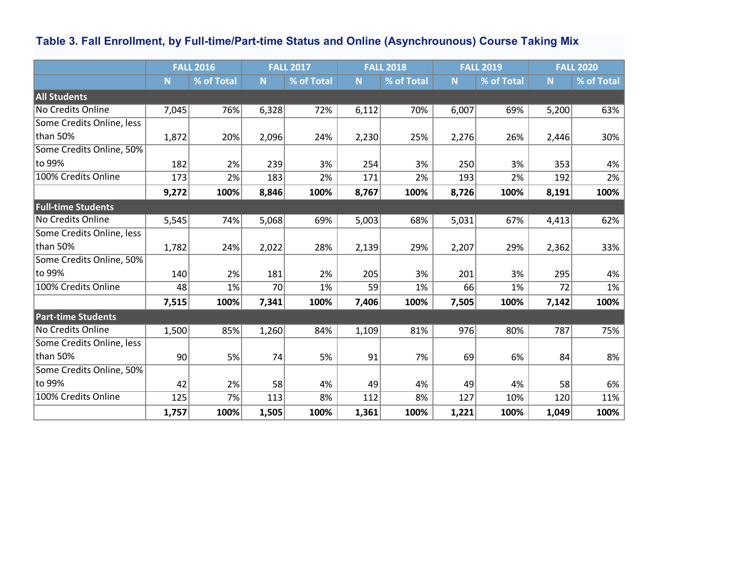# **Table 3. Fall Enrollment, by Full-time/Part-time Status and Online (Asynchrounous) Course Taking Mix**

|                           |       | <b>FALL 2016</b> |       | <b>FALL 2017</b> |       | <b>FALL 2018</b><br><b>FALL 2019</b> |       |            | <b>FALL 2020</b> |            |  |  |
|---------------------------|-------|------------------|-------|------------------|-------|--------------------------------------|-------|------------|------------------|------------|--|--|
|                           | N     | % of Total       | N     | % of Total       | N.    | % of Total                           | N     | % of Total | N                | % of Total |  |  |
| <b>All Students</b>       |       |                  |       |                  |       |                                      |       |            |                  |            |  |  |
| No Credits Online         | 7,045 | 76%              | 6,328 | 72%              | 6,112 | 70%                                  | 6,007 | 69%        | 5,200            | 63%        |  |  |
| Some Credits Online, less |       |                  |       |                  |       |                                      |       |            |                  |            |  |  |
| than 50%                  | 1,872 | 20%              | 2,096 | 24%              | 2,230 | 25%                                  | 2,276 | 26%        | 2,446            | 30%        |  |  |
| Some Credits Online, 50%  |       |                  |       |                  |       |                                      |       |            |                  |            |  |  |
| to 99%                    | 182   | 2%               | 239   | 3%               | 254   | 3%                                   | 250   | 3%         | 353              | 4%         |  |  |
| 100% Credits Online       | 173   | 2%               | 183   | 2%               | 171   | 2%                                   | 193   | 2%         | 192              | 2%         |  |  |
|                           | 9,272 | 100%             | 8,846 | 100%             | 8,767 | 100%                                 | 8,726 | 100%       | 8,191            | 100%       |  |  |
| <b>Full-time Students</b> |       |                  |       |                  |       |                                      |       |            |                  |            |  |  |
| <b>No Credits Online</b>  | 5,545 | 74%              | 5,068 | 69%              | 5,003 | 68%                                  | 5,031 | 67%        | 4,413            | 62%        |  |  |
| Some Credits Online, less |       |                  |       |                  |       |                                      |       |            |                  |            |  |  |
| than 50%                  | 1,782 | 24%              | 2,022 | 28%              | 2,139 | 29%                                  | 2,207 | 29%        | 2,362            | 33%        |  |  |
| Some Credits Online, 50%  |       |                  |       |                  |       |                                      |       |            |                  |            |  |  |
| to 99%                    | 140   | 2%               | 181   | 2%               | 205   | 3%                                   | 201   | 3%         | 295              | 4%         |  |  |
| 100% Credits Online       | 48    | 1%               | 70    | 1%               | 59    | 1%                                   | 66    | 1%         | 72               | 1%         |  |  |
|                           | 7,515 | 100%             | 7,341 | 100%             | 7,406 | 100%                                 | 7,505 | 100%       | 7,142            | 100%       |  |  |
| <b>Part-time Students</b> |       |                  |       |                  |       |                                      |       |            |                  |            |  |  |
| No Credits Online         | 1,500 | 85%              | 1,260 | 84%              | 1,109 | 81%                                  | 976   | 80%        | 787              | 75%        |  |  |
| Some Credits Online, less |       |                  |       |                  |       |                                      |       |            |                  |            |  |  |
| than 50%                  | 90    | 5%               | 74    | 5%               | 91    | 7%                                   | 69    | 6%         | 84               | 8%         |  |  |
| Some Credits Online, 50%  |       |                  |       |                  |       |                                      |       |            |                  |            |  |  |
| to 99%                    | 42    | 2%               | 58    | 4%               | 49    | 4%                                   | 49    | 4%         | 58               | 6%         |  |  |
| 100% Credits Online       | 125   | 7%               | 113   | 8%               | 112   | 8%                                   | 127   | 10%        | 120              | 11%        |  |  |
|                           | 1,757 | 100%             | 1,505 | 100%             | 1,361 | 100%                                 | 1,221 | 100%       | 1,049            | 100%       |  |  |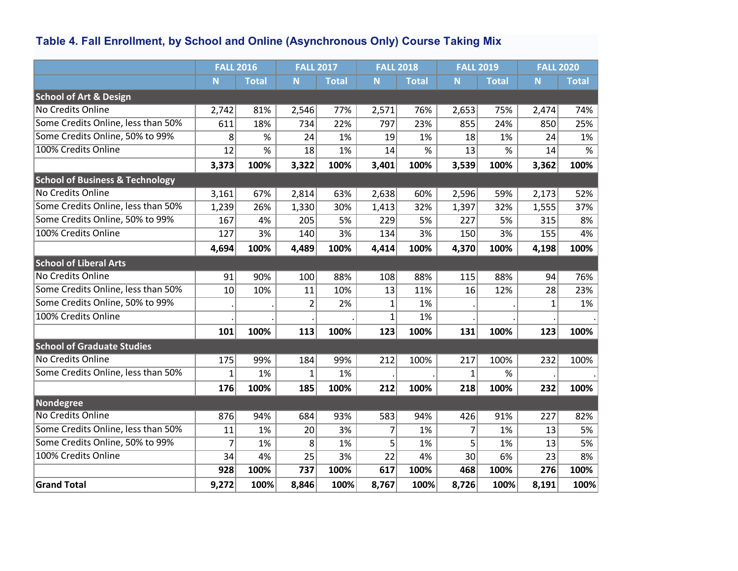# **Table 4. Fall Enrollment, by School and Online (Asynchronous Only) Course Taking Mix**

|                                            | <b>FALL 2016</b> |              | <b>FALL 2017</b> |              | <b>FALL 2018</b> |              | <b>FALL 2019</b> |              | <b>FALL 2020</b> |                 |
|--------------------------------------------|------------------|--------------|------------------|--------------|------------------|--------------|------------------|--------------|------------------|-----------------|
|                                            | N.               | <b>Total</b> | N <sub>1</sub>   | <b>Total</b> | N                | <b>Total</b> | N.               | <b>Total</b> | N.               | <b>Total</b>    |
| <b>School of Art &amp; Design</b>          |                  |              |                  |              |                  |              |                  |              |                  |                 |
| <b>No Credits Online</b>                   | 2,742            | 81%          | 2,546            | 77%          | 2,571            | 76%          | 2,653            | 75%          | 2,474            | 74%             |
| Some Credits Online, less than 50%         | 611              | 18%          | 734              | 22%          | 797              | 23%          | 855              | 24%          | 850              | 25%             |
| Some Credits Online, 50% to 99%            | 8                | $\%$         | 24               | 1%           | 19               | 1%           | 18               | 1%           | 24               | 1%              |
| 100% Credits Online                        | 12               | $\%$         | 18               | 1%           | 14               | $\%$         | 13               | $\%$         | 14               | $\overline{\%}$ |
|                                            | 3,373            | 100%         | 3,322            | 100%         | 3,401            | 100%         | 3,539            | 100%         | 3,362            | 100%            |
| <b>School of Business &amp; Technology</b> |                  |              |                  |              |                  |              |                  |              |                  |                 |
| <b>No Credits Online</b>                   | 3,161            | 67%          | 2,814            | 63%          | 2,638            | 60%          | 2,596            | 59%          | 2,173            | 52%             |
| Some Credits Online, less than 50%         | 1,239            | 26%          | 1,330            | 30%          | 1,413            | 32%          | 1,397            | 32%          | 1,555            | 37%             |
| Some Credits Online, 50% to 99%            | 167              | 4%           | 205              | 5%           | 229              | 5%           | 227              | 5%           | 315              | 8%              |
| 100% Credits Online                        | 127              | 3%           | 140              | 3%           | 134              | 3%           | 150              | 3%           | 155              | 4%              |
|                                            | 4,694            | 100%         | 4,489            | 100%         | 4,414            | 100%         | 4,370            | 100%         | 4,198            | 100%            |
| <b>School of Liberal Arts</b>              |                  |              |                  |              |                  |              |                  |              |                  |                 |
| <b>No Credits Online</b>                   | 91               | 90%          | 100              | 88%          | 108              | 88%          | 115              | 88%          | 94               | 76%             |
| Some Credits Online, less than 50%         | 10 <sup>1</sup>  | 10%          | 11               | 10%          | 13               | 11%          | 16               | 12%          | 28               | 23%             |
| Some Credits Online, 50% to 99%            |                  |              | $\overline{2}$   | 2%           | $\mathbf 1$      | 1%           |                  |              | $\mathbf{1}$     | 1%              |
| 100% Credits Online                        |                  |              |                  |              | $\mathbf{1}$     | 1%           |                  |              |                  |                 |
|                                            | 101              | 100%         | 113              | 100%         | 123              | 100%         | 131              | 100%         | 123              | 100%            |
| <b>School of Graduate Studies</b>          |                  |              |                  |              |                  |              |                  |              |                  |                 |
| No Credits Online                          | 175              | 99%          | 184              | 99%          | 212              | 100%         | 217              | 100%         | 232              | 100%            |
| Some Credits Online, less than 50%         | $\mathbf{1}$     | 1%           | 1                | 1%           |                  |              | $\mathbf{1}$     | %            |                  |                 |
|                                            | 176              | 100%         | 185              | 100%         | 212              | 100%         | 218              | 100%         | 232              | 100%            |
| <b>Nondegree</b>                           |                  |              |                  |              |                  |              |                  |              |                  |                 |
| <b>No Credits Online</b>                   | 876              | 94%          | 684              | 93%          | 583              | 94%          | 426              | 91%          | 227              | 82%             |
| Some Credits Online, less than 50%         | 11               | 1%           | 20               | 3%           | $\overline{7}$   | 1%           | 7                | 1%           | 13               | 5%              |
| Some Credits Online, 50% to 99%            | $\overline{7}$   | 1%           | 8                | 1%           | 5                | 1%           | 5                | 1%           | 13               | 5%              |
| 100% Credits Online                        | 34               | 4%           | 25               | 3%           | 22               | 4%           | 30               | 6%           | 23               | 8%              |
|                                            | 928              | 100%         | 737              | 100%         | 617              | 100%         | 468              | 100%         | 276              | 100%            |
| <b>Grand Total</b>                         | 9,272            | 100%         | 8,846            | 100%         | 8,767            | 100%         | 8,726            | 100%         | 8,191            | 100%            |